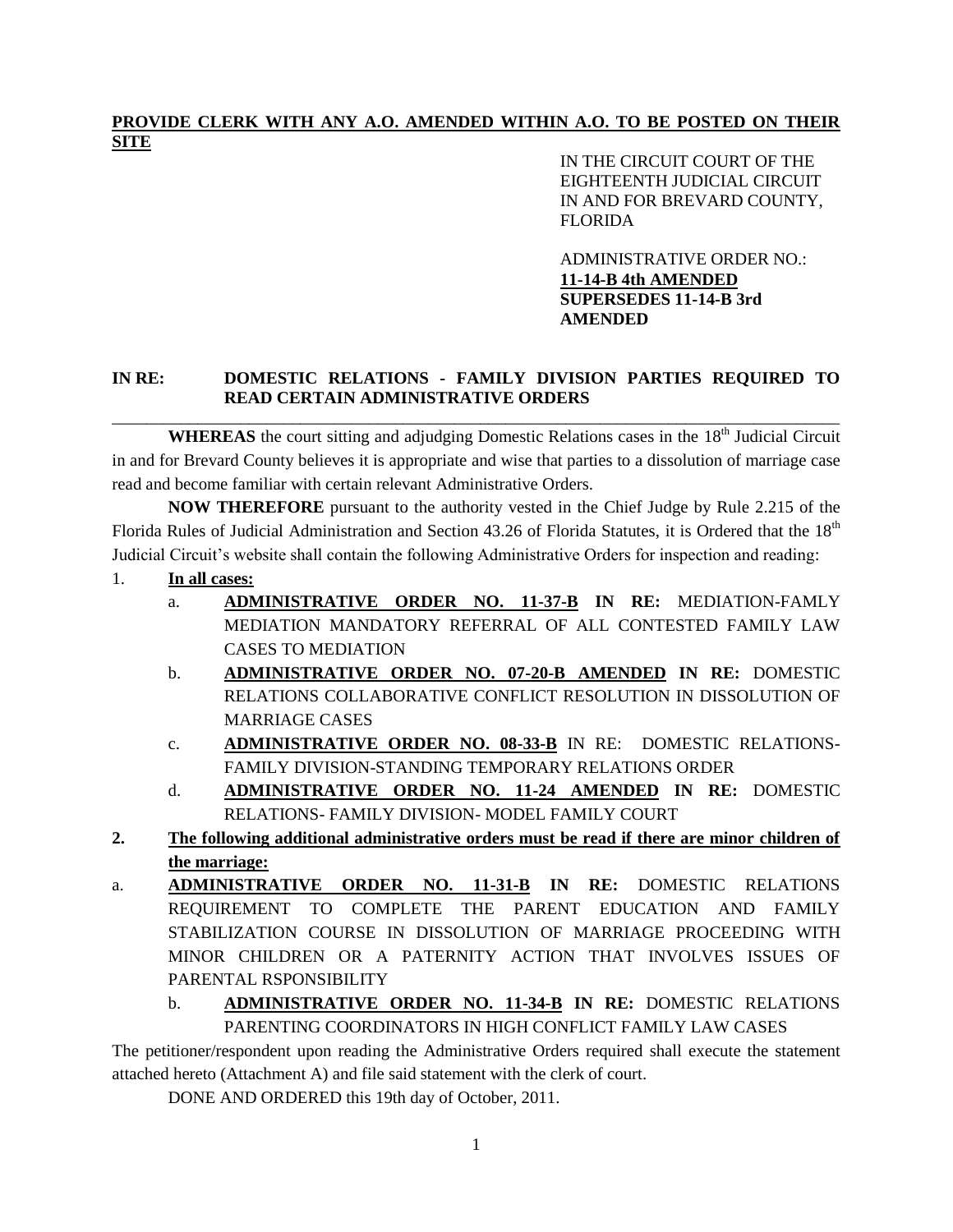## **PROVIDE CLERK WITH ANY A.O. AMENDED WITHIN A.O. TO BE POSTED ON THEIR SITE**

IN THE CIRCUIT COURT OF THE EIGHTEENTH JUDICIAL CIRCUIT IN AND FOR BREVARD COUNTY, FLORIDA

ADMINISTRATIVE ORDER NO.: **11-14-B 4th AMENDED SUPERSEDES 11-14-B 3rd AMENDED**

## **IN RE: DOMESTIC RELATIONS - FAMILY DIVISION PARTIES REQUIRED TO READ CERTAIN ADMINISTRATIVE ORDERS** \_\_\_\_\_\_\_\_\_\_\_\_\_\_\_\_\_\_\_\_\_\_\_\_\_\_\_\_\_\_\_\_\_\_\_\_\_\_\_\_\_\_\_\_\_\_\_\_\_\_\_\_\_\_\_\_\_\_\_\_\_\_\_\_\_\_\_\_\_\_\_\_\_\_\_\_\_\_\_\_\_\_\_\_\_

WHEREAS the court sitting and adjudging Domestic Relations cases in the 18<sup>th</sup> Judicial Circuit in and for Brevard County believes it is appropriate and wise that parties to a dissolution of marriage case read and become familiar with certain relevant Administrative Orders.

**NOW THEREFORE** pursuant to the authority vested in the Chief Judge by Rule 2.215 of the Florida Rules of Judicial Administration and Section 43.26 of Florida Statutes, it is Ordered that the 18<sup>th</sup> Judicial Circuit's website shall contain the following Administrative Orders for inspection and reading:

- 1. **In all cases:**
	- a. **ADMINISTRATIVE ORDER NO. 11-37-B IN RE:** MEDIATION-FAMLY MEDIATION MANDATORY REFERRAL OF ALL CONTESTED FAMILY LAW CASES TO MEDIATION
	- b. **ADMINISTRATIVE ORDER NO. 07-20-B AMENDED IN RE:** DOMESTIC RELATIONS COLLABORATIVE CONFLICT RESOLUTION IN DISSOLUTION OF MARRIAGE CASES
	- c. **ADMINISTRATIVE ORDER NO. 08-33-B** IN RE: DOMESTIC RELATIONS-FAMILY DIVISION-STANDING TEMPORARY RELATIONS ORDER
	- d. **ADMINISTRATIVE ORDER NO. 11-24 AMENDED IN RE:** DOMESTIC RELATIONS- FAMILY DIVISION- MODEL FAMILY COURT
- **2. The following additional administrative orders must be read if there are minor children of the marriage:**
- a. **ADMINISTRATIVE ORDER NO. 11-31-B IN RE:** DOMESTIC RELATIONS REQUIREMENT TO COMPLETE THE PARENT EDUCATION AND FAMILY STABILIZATION COURSE IN DISSOLUTION OF MARRIAGE PROCEEDING WITH MINOR CHILDREN OR A PATERNITY ACTION THAT INVOLVES ISSUES OF PARENTAL RSPONSIBILITY
	- b. **ADMINISTRATIVE ORDER NO. 11-34-B IN RE:** DOMESTIC RELATIONS PARENTING COORDINATORS IN HIGH CONFLICT FAMILY LAW CASES

The petitioner/respondent upon reading the Administrative Orders required shall execute the statement attached hereto (Attachment A) and file said statement with the clerk of court.

DONE AND ORDERED this 19th day of October, 2011.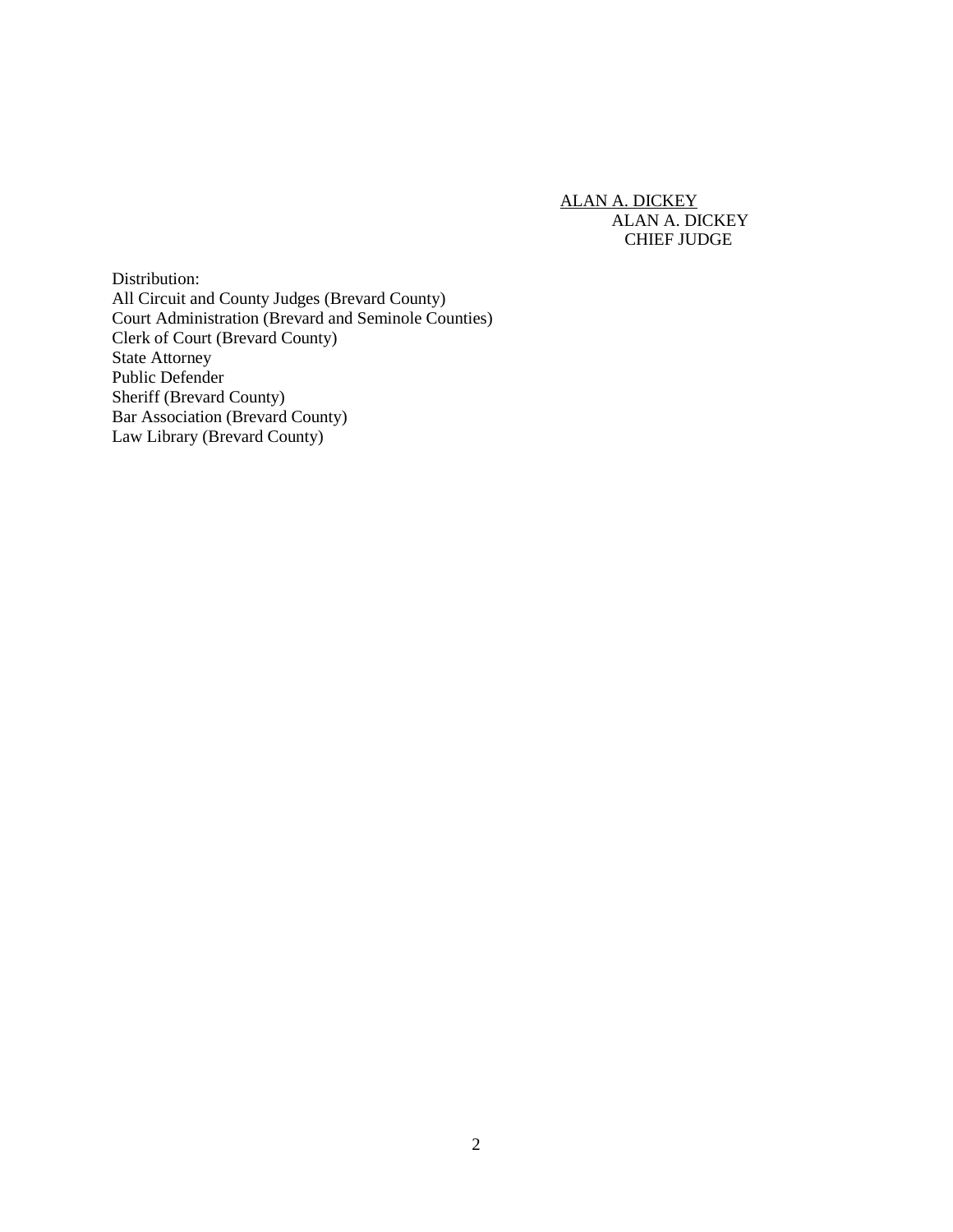ALAN A. DICKEY ALAN A. DICKEY CHIEF JUDGE

Distribution: All Circuit and County Judges (Brevard County) Court Administration (Brevard and Seminole Counties) Clerk of Court (Brevard County) State Attorney Public Defender Sheriff (Brevard County) Bar Association (Brevard County) Law Library (Brevard County)